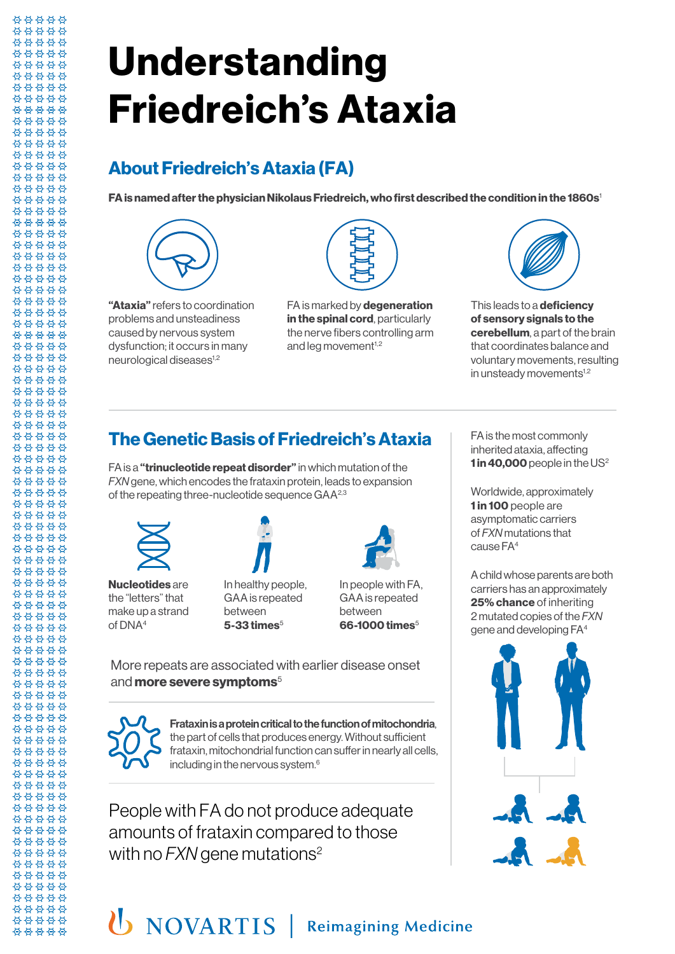## **About Friedreich's Ataxia (FA)**

**FA is named after the physician Nikolaus Friedreich, who first described the condition in the 1860s**1



88888 \*\*\*\*\* 88888 \*\*\*\*\* 88888 88888 \*\*\*\*\* \*\*\*\*\* 88888 88888 \*\*\*\*\* \*\*\*\*\* 88888 00000 \*\*\*\*\* 88888 88888 88888 \*\*\*\*\* \*\*\*\*\* 88888 88888 \*\*\*\*\* \*\*\*\*\* \*\*\*\*\* \*\*\*\*\* 88888 \*\*\*\*\* 88888 88888 88888 \*\*\*\*\* 88888 \*\*\*\*\* \*\*\*\*\* \*\*\*\*\* \*\*\*\*\* \*\*\*\*\* \*\*\*\*\* 88888 88888 00000 \*\*\*\*\* 88888 \*\*\*\*\* \*\*\*\*\* \*\*\*\*\* \*\*\*\*\* 88888 \*\*\*\*\* 88888 \*\*\*\*\* 88888 \*\*\*\*\* \*\*\*\*\* \*\*\*\*\* \*\*\*\*\* \*\*\*\*\* \*\*\*\*\* \*\*\*\*\* 유 요 요 요 요 88888 \*\*\*\*\* 88888 \*\*\*\*\* 00000 \*\*\*\*\* \*\*\*\*\* \*\*\*\*\* \*\*\*\*\* \*\*\*\*\* \*\*\*\*\* 88888 \*\*\*\*\* 88888 \*\*\*\*\* \*\*\*\*\* \*\*\*\*\* 00000 \*\*\*\*\*

**"Ataxia"** refers to coordination problems and unsteadiness caused by nervous system dysfunction; it occurs in many neurological diseases<sup>1,2</sup>



FA is marked by **degeneration in the spinal cord**, particularly the nerve fibers controlling arm and leg movement<sup>1,2</sup>



This leads to a **deficiency of sensory signals to the cerebellum**, a part of the brain that coordinates balance and voluntary movements, resulting in unsteady movements $1,2$ 

## **The Genetic Basis of Friedreich's Ataxia**

FA is a **"trinucleotide repeat disorder"** in which mutation of the *FXN* gene, which encodes the frataxin protein, leads to expansion of the repeating three-nucleotide sequence GAA<sup>2,3</sup>



**Nucleotides** are the "letters" that make up a strand of DNA4



between **5-33 times**<sup>5</sup>



In people with FA, GAA is repeated between **66-1000 times**<sup>5</sup>

More repeats are associated with earlier disease onset and **more severe symptoms**<sup>5</sup>



\*\*\*\*\* 00000

Frataxin is a protein critical to the function of mitochondria, the part of cells that produces energy. Without sufficient frataxin, mitochondrial function can suffer in nearly all cells, including in the nervous system.<sup>6</sup>

People with FA do not produce adequate amounts of frataxin compared to those with no *FXN* gene mutations<sup>2</sup>

FA is the most commonly inherited ataxia, affecting 1 in 40,000 people in the US<sup>2</sup>

Worldwide, approximately **1 in 100** people are asymptomatic carriers of *FXN* mutations that cause FA4

A child whose parents are both carriers has an approximately **25% chance** of inheriting 2 mutated copies of the *FXN* gene and developing FA4

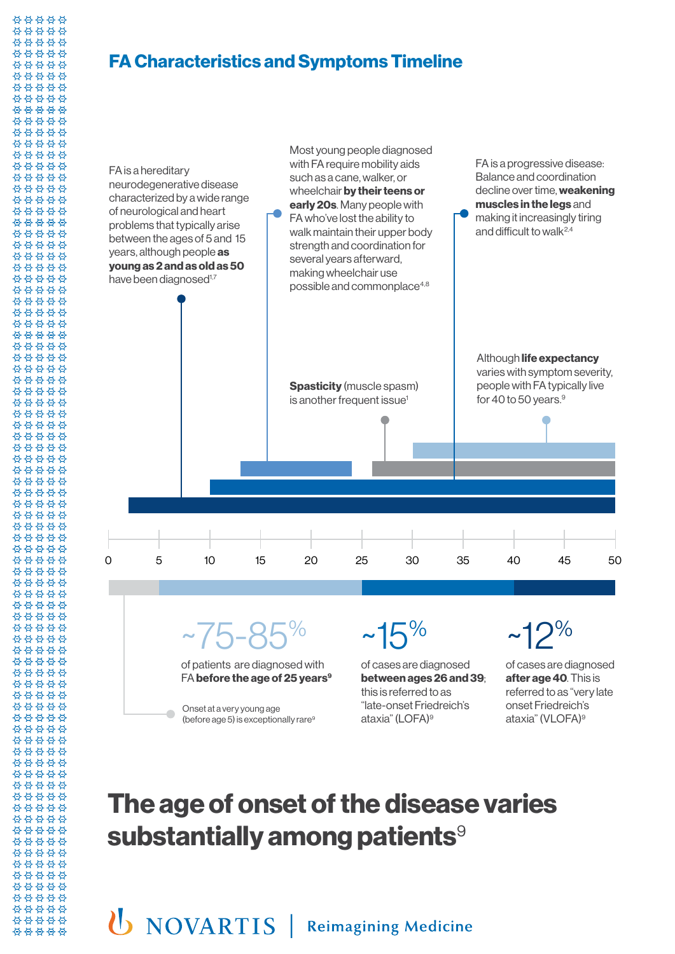### **FA Characteristics and Symptoms Timeline**

88888 \*\*\*\*\* 88888 \*\*\*\*\* 88888 88888 \*\*\*\*\* \*\*\*\*\* \*\*\*\*\* 00000 \*\*\*\*\* \*\*\*\*\* \*\*\*\*\* 00000 \*\*\*\*\* 88888 88888 88888 \*\*\*\*\* \*\*\*\*\* \*\*\*\*\* \*\*\*\*\* \*\*\*\*\* \*\*\*\*\* \*\*\*\*\* \*\*\*\*\* 88888 \*\*\*\*\* 88888 88888 88888 \*\*\*\*\* 88888 \*\*\*\*\* \*\*\*\*\* \*\*\*\*\* \*\*\*\*\* \*\*\*\*\* \*\*\*\*\* 88888 88888 00000 88888 88888 88888 \*\*\*\*\* \*\*\*\*\* \*\*\*\*\* 88888 \*\*\*\*\* 88888 \*\*\*\*\* 88888 \*\*\*\*\* 88888 \*\*\*\*\* \*\*\*\*\* \*\*\*\*\* \*\*\*\*\* \*\*\*\*\* 88888 88888 \*\*\*\*\* 88888 \*\*\*\*\* 00000 \*\*\*\*\* \*\*\*\*\* \*\*\*\*\* 88888 \*\*\*\*\* \*\*\*\*\* 88888 88888 88888 \*\*\*\*\* \*\*\*\*\* \*\*\*\*\* 00000 \*\*\*\*\*

\*\*\*\*\* 88888



# **The age of onset of the disease varies substantially among patients**<sup>9</sup>